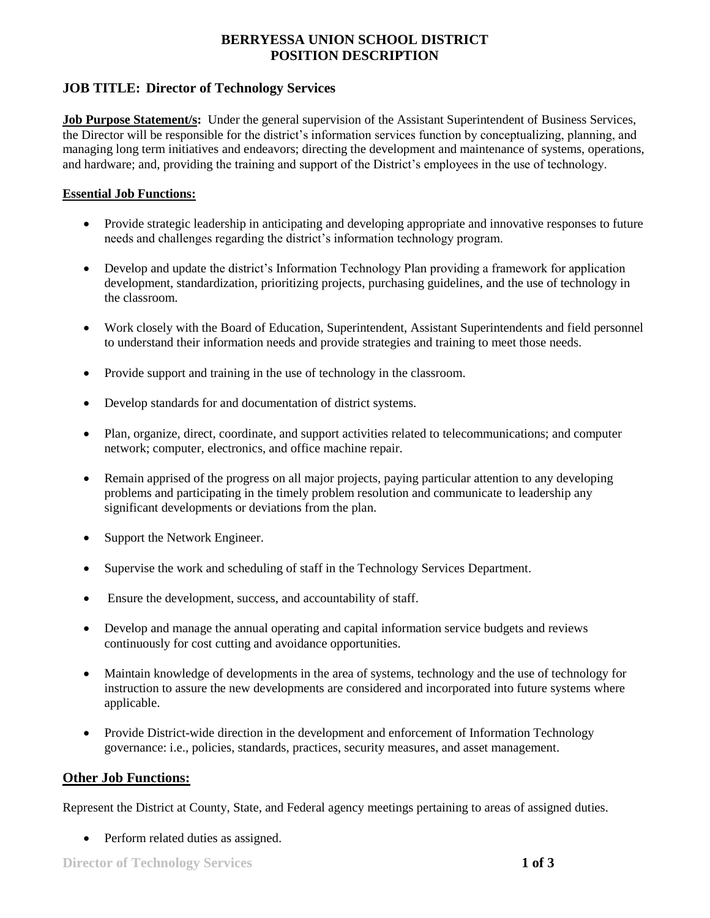## **BERRYESSA UNION SCHOOL DISTRICT POSITION DESCRIPTION**

### **JOB TITLE: Director of Technology Services**

**Job Purpose Statement/s:** Under the general supervision of the Assistant Superintendent of Business Services, the Director will be responsible for the district's information services function by conceptualizing, planning, and managing long term initiatives and endeavors; directing the development and maintenance of systems, operations, and hardware; and, providing the training and support of the District's employees in the use of technology.

#### **Essential Job Functions:**

- Provide strategic leadership in anticipating and developing appropriate and innovative responses to future needs and challenges regarding the district's information technology program.
- Develop and update the district's Information Technology Plan providing a framework for application development, standardization, prioritizing projects, purchasing guidelines, and the use of technology in the classroom.
- Work closely with the Board of Education, Superintendent, Assistant Superintendents and field personnel to understand their information needs and provide strategies and training to meet those needs.
- Provide support and training in the use of technology in the classroom.
- Develop standards for and documentation of district systems.
- Plan, organize, direct, coordinate, and support activities related to telecommunications; and computer network; computer, electronics, and office machine repair.
- Remain apprised of the progress on all major projects, paying particular attention to any developing problems and participating in the timely problem resolution and communicate to leadership any significant developments or deviations from the plan.
- Support the Network Engineer.
- Supervise the work and scheduling of staff in the Technology Services Department.
- Ensure the development, success, and accountability of staff.
- Develop and manage the annual operating and capital information service budgets and reviews continuously for cost cutting and avoidance opportunities.
- Maintain knowledge of developments in the area of systems, technology and the use of technology for instruction to assure the new developments are considered and incorporated into future systems where applicable.
- Provide District-wide direction in the development and enforcement of Information Technology governance: i.e., policies, standards, practices, security measures, and asset management.

### **Other Job Functions:**

Represent the District at County, State, and Federal agency meetings pertaining to areas of assigned duties.

• Perform related duties as assigned.

**Director of Technology Services 1 of 3**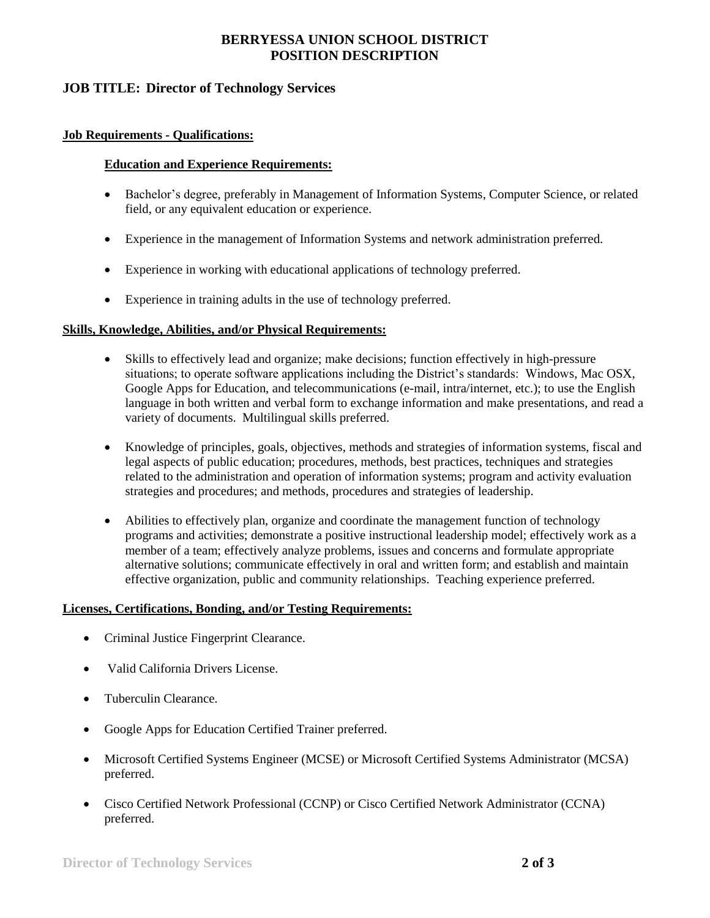## **BERRYESSA UNION SCHOOL DISTRICT POSITION DESCRIPTION**

### **JOB TITLE: Director of Technology Services**

#### **Job Requirements - Qualifications:**

#### **Education and Experience Requirements:**

- Bachelor's degree, preferably in Management of Information Systems, Computer Science, or related field, or any equivalent education or experience.
- Experience in the management of Information Systems and network administration preferred.
- Experience in working with educational applications of technology preferred.
- Experience in training adults in the use of technology preferred.

#### **Skills, Knowledge, Abilities, and/or Physical Requirements:**

- Skills to effectively lead and organize; make decisions; function effectively in high-pressure situations; to operate software applications including the District's standards: Windows, Mac OSX, Google Apps for Education, and telecommunications (e-mail, intra/internet, etc.); to use the English language in both written and verbal form to exchange information and make presentations, and read a variety of documents. Multilingual skills preferred.
- Knowledge of principles, goals, objectives, methods and strategies of information systems, fiscal and legal aspects of public education; procedures, methods, best practices, techniques and strategies related to the administration and operation of information systems; program and activity evaluation strategies and procedures; and methods, procedures and strategies of leadership.
- Abilities to effectively plan, organize and coordinate the management function of technology programs and activities; demonstrate a positive instructional leadership model; effectively work as a member of a team; effectively analyze problems, issues and concerns and formulate appropriate alternative solutions; communicate effectively in oral and written form; and establish and maintain effective organization, public and community relationships. Teaching experience preferred.

### **Licenses, Certifications, Bonding, and/or Testing Requirements:**

- Criminal Justice Fingerprint Clearance.
- Valid California Drivers License.
- Tuberculin Clearance.
- Google Apps for Education Certified Trainer preferred.
- Microsoft Certified Systems Engineer (MCSE) or Microsoft Certified Systems Administrator (MCSA) preferred.
- Cisco Certified Network Professional (CCNP) or Cisco Certified Network Administrator (CCNA) preferred.